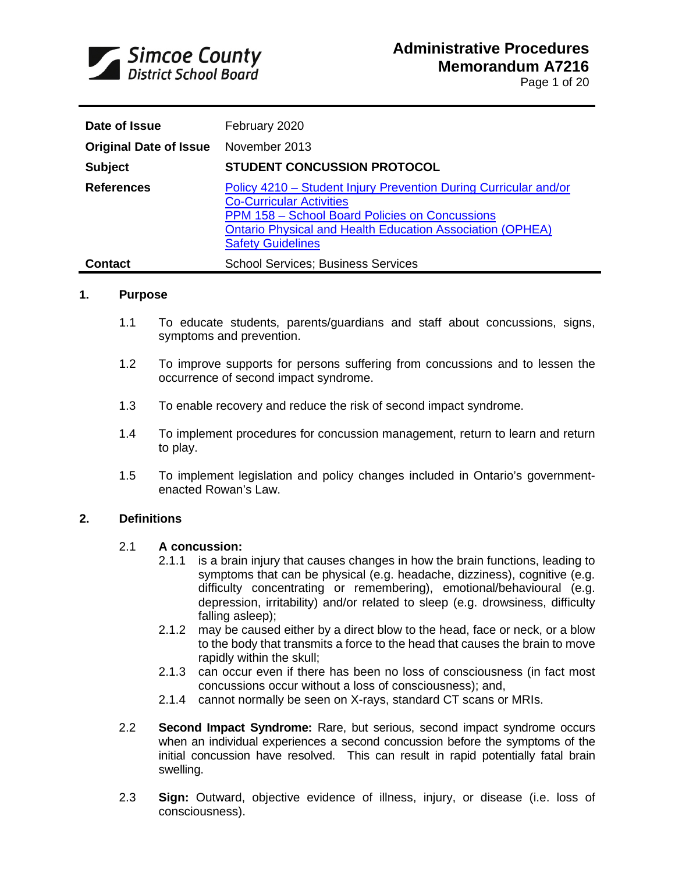

| Date of Issue                 | February 2020                                                                                                                                                                                                                                         |
|-------------------------------|-------------------------------------------------------------------------------------------------------------------------------------------------------------------------------------------------------------------------------------------------------|
| <b>Original Date of Issue</b> | November 2013                                                                                                                                                                                                                                         |
| <b>Subject</b>                | <b>STUDENT CONCUSSION PROTOCOL</b>                                                                                                                                                                                                                    |
| <b>References</b>             | Policy 4210 - Student Injury Prevention During Curricular and/or<br><b>Co-Curricular Activities</b><br>PPM 158 - School Board Policies on Concussions<br><b>Ontario Physical and Health Education Association (OPHEA)</b><br><b>Safety Guidelines</b> |
| <b>Contact</b>                | <b>School Services: Business Services</b>                                                                                                                                                                                                             |

#### **1. Purpose**

- 1.1 To educate students, parents/guardians and staff about concussions, signs, symptoms and prevention.
- 1.2 To improve supports for persons suffering from concussions and to lessen the occurrence of second impact syndrome.
- 1.3 To enable recovery and reduce the risk of second impact syndrome.
- 1.4 To implement procedures for concussion management, return to learn and return to play.
- 1.5 To implement legislation and policy changes included in Ontario's governmentenacted Rowan's Law.

#### **2. Definitions**

#### 2.1 **A concussion:**

- 2.1.1 is a brain injury that causes changes in how the brain functions, leading to symptoms that can be physical (e.g. headache, dizziness), cognitive (e.g. difficulty concentrating or remembering), emotional/behavioural (e.g. depression, irritability) and/or related to sleep (e.g. drowsiness, difficulty falling asleep);
- 2.1.2 may be caused either by a direct blow to the head, face or neck, or a blow to the body that transmits a force to the head that causes the brain to move rapidly within the skull;
- 2.1.3 can occur even if there has been no loss of consciousness (in fact most concussions occur without a loss of consciousness); and,
- 2.1.4 cannot normally be seen on X-rays, standard CT scans or MRIs.
- 2.2 **Second Impact Syndrome:** Rare, but serious, second impact syndrome occurs when an individual experiences a second concussion before the symptoms of the initial concussion have resolved. This can result in rapid potentially fatal brain swelling.
- 2.3 **Sign:** Outward, objective evidence of illness, injury, or disease (i.e. loss of consciousness).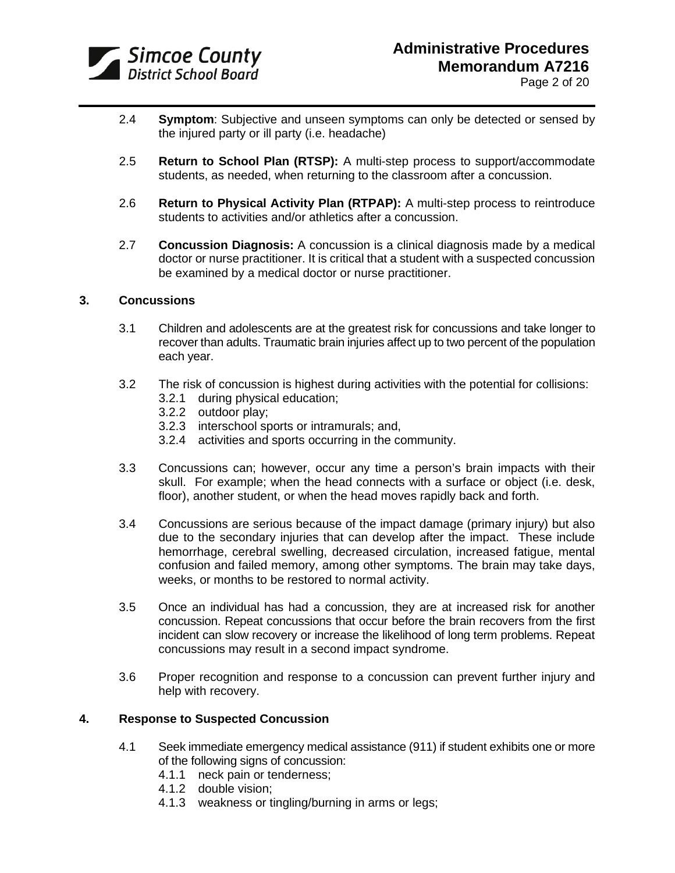

- 2.4 **Symptom**: Subjective and unseen symptoms can only be detected or sensed by the injured party or ill party (i.e. headache)
- 2.5 **Return to School Plan (RTSP):** A multi-step process to support/accommodate students, as needed, when returning to the classroom after a concussion.
- 2.6 **Return to Physical Activity Plan (RTPAP):** A multi-step process to reintroduce students to activities and/or athletics after a concussion.
- 2.7 **Concussion Diagnosis:** A concussion is a clinical diagnosis made by a medical doctor or nurse practitioner. It is critical that a student with a suspected concussion be examined by a medical doctor or nurse practitioner.

#### **3. Concussions**

- 3.1 Children and adolescents are at the greatest risk for concussions and take longer to recover than adults. Traumatic brain injuries affect up to two percent of the population each year.
- 3.2 The risk of concussion is highest during activities with the potential for collisions:
	- 3.2.1 during physical education;
	- 3.2.2 outdoor play;
	- 3.2.3 interschool sports or intramurals; and,
	- 3.2.4 activities and sports occurring in the community.
- 3.3 Concussions can; however, occur any time a person's brain impacts with their skull. For example; when the head connects with a surface or object (i.e. desk, floor), another student, or when the head moves rapidly back and forth.
- 3.4 Concussions are serious because of the impact damage (primary injury) but also due to the secondary injuries that can develop after the impact. These include hemorrhage, cerebral swelling, decreased circulation, increased fatigue, mental confusion and failed memory, among other symptoms. The brain may take days, weeks, or months to be restored to normal activity.
- 3.5 Once an individual has had a concussion, they are at increased risk for another concussion. Repeat concussions that occur before the brain recovers from the first incident can slow recovery or increase the likelihood of long term problems. Repeat concussions may result in a second impact syndrome.
- 3.6 Proper recognition and response to a concussion can prevent further injury and help with recovery.

#### **4. Response to Suspected Concussion**

- 4.1 Seek immediate emergency medical assistance (911) if student exhibits one or more of the following signs of concussion:
	- 4.1.1 neck pain or tenderness;
	- 4.1.2 double vision;
	- 4.1.3 weakness or tingling/burning in arms or legs;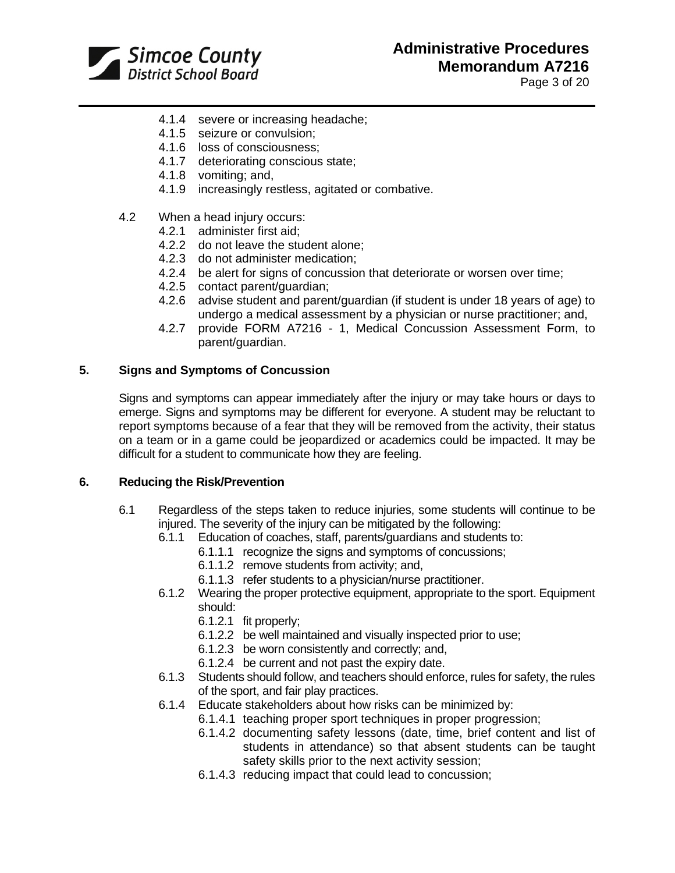

Page 3 of 20

- 4.1.4 severe or increasing headache;
- 4.1.5 seizure or convulsion;
- 4.1.6 loss of consciousness;
- 4.1.7 deteriorating conscious state;
- 4.1.8 vomiting; and,
- 4.1.9 increasingly restless, agitated or combative.
- 4.2 When a head injury occurs:
	- 4.2.1 administer first aid;
	- 4.2.2 do not leave the student alone;
	- 4.2.3 do not administer medication;
	- 4.2.4 be alert for signs of concussion that deteriorate or worsen over time;
	- 4.2.5 contact parent/guardian;
	- 4.2.6 advise student and parent/guardian (if student is under 18 years of age) to undergo a medical assessment by a physician or nurse practitioner; and,
	- 4.2.7 provide FORM A7216 1, Medical Concussion Assessment Form, to parent/guardian.

#### **5. Signs and Symptoms of Concussion**

Signs and symptoms can appear immediately after the injury or may take hours or days to emerge. Signs and symptoms may be different for everyone. A student may be reluctant to report symptoms because of a fear that they will be removed from the activity, their status on a team or in a game could be jeopardized or academics could be impacted. It may be difficult for a student to communicate how they are feeling.

#### **6. Reducing the Risk/Prevention**

- 6.1 Regardless of the steps taken to reduce injuries, some students will continue to be injured. The severity of the injury can be mitigated by the following:
	- 6.1.1 Education of coaches, staff, parents/guardians and students to:
		- 6.1.1.1 recognize the signs and symptoms of concussions;
		- 6.1.1.2 remove students from activity; and,
		- 6.1.1.3 refer students to a physician/nurse practitioner.
	- 6.1.2 Wearing the proper protective equipment, appropriate to the sport. Equipment should:
		- 6.1.2.1 fit properly;
		- 6.1.2.2 be well maintained and visually inspected prior to use;
		- 6.1.2.3 be worn consistently and correctly; and,
		- 6.1.2.4 be current and not past the expiry date.
	- 6.1.3 Students should follow, and teachers should enforce, rules for safety, the rules of the sport, and fair play practices.
	- 6.1.4 Educate stakeholders about how risks can be minimized by:
		- 6.1.4.1 teaching proper sport techniques in proper progression;
		- 6.1.4.2 documenting safety lessons (date, time, brief content and list of students in attendance) so that absent students can be taught safety skills prior to the next activity session;
		- 6.1.4.3 reducing impact that could lead to concussion;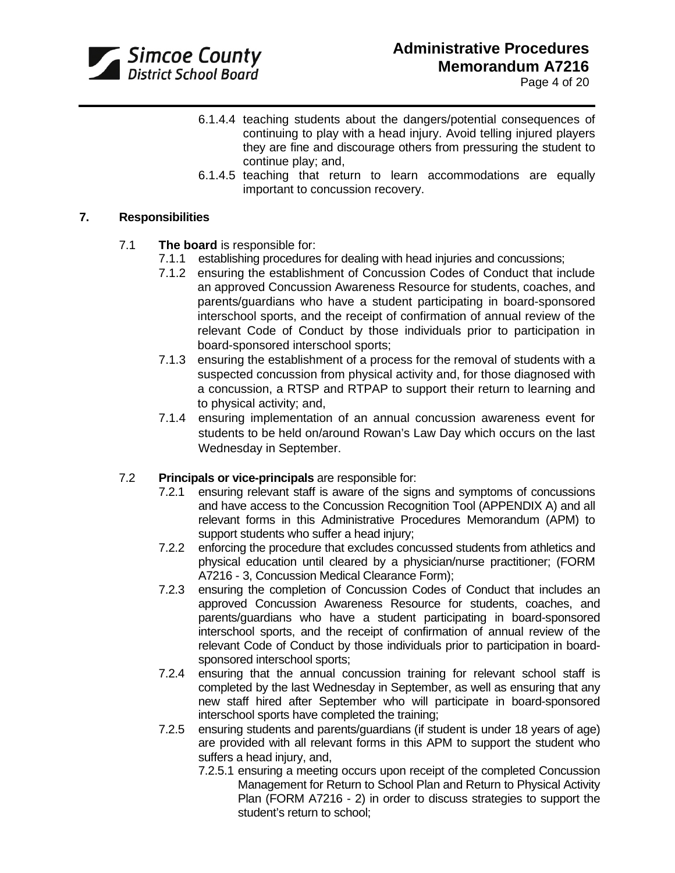

Page 4 of 20

- 6.1.4.4 teaching students about the dangers/potential consequences of continuing to play with a head injury. Avoid telling injured players they are fine and discourage others from pressuring the student to continue play; and,
- 6.1.4.5 teaching that return to learn accommodations are equally important to concussion recovery.

### **7. Responsibilities**

## 7.1 **The board** is responsible for:

- 7.1.1 establishing procedures for dealing with head injuries and concussions;
- 7.1.2 ensuring the establishment of Concussion Codes of Conduct that include an approved Concussion Awareness Resource for students, coaches, and parents/guardians who have a student participating in board-sponsored interschool sports, and the receipt of confirmation of annual review of the relevant Code of Conduct by those individuals prior to participation in board-sponsored interschool sports;
- 7.1.3 ensuring the establishment of a process for the removal of students with a suspected concussion from physical activity and, for those diagnosed with a concussion, a RTSP and RTPAP to support their return to learning and to physical activity; and,
- 7.1.4 ensuring implementation of an annual concussion awareness event for students to be held on/around Rowan's Law Day which occurs on the last Wednesday in September.

### 7.2 **Principals or vice-principals** are responsible for:

- 7.2.1 ensuring relevant staff is aware of the signs and symptoms of concussions and have access to the Concussion Recognition Tool (APPENDIX A) and all relevant forms in this Administrative Procedures Memorandum (APM) to support students who suffer a head injury;
- 7.2.2 enforcing the procedure that excludes concussed students from athletics and physical education until cleared by a physician/nurse practitioner; (FORM A7216 - 3, Concussion Medical Clearance Form);
- 7.2.3 ensuring the completion of Concussion Codes of Conduct that includes an approved Concussion Awareness Resource for students, coaches, and parents/guardians who have a student participating in board-sponsored interschool sports, and the receipt of confirmation of annual review of the relevant Code of Conduct by those individuals prior to participation in boardsponsored interschool sports;
- 7.2.4 ensuring that the annual concussion training for relevant school staff is completed by the last Wednesday in September, as well as ensuring that any new staff hired after September who will participate in board-sponsored interschool sports have completed the training;
- 7.2.5 ensuring students and parents/guardians (if student is under 18 years of age) are provided with all relevant forms in this APM to support the student who suffers a head injury, and,
	- 7.2.5.1 ensuring a meeting occurs upon receipt of the completed Concussion Management for Return to School Plan and Return to Physical Activity Plan (FORM A7216 - 2) in order to discuss strategies to support the student's return to school;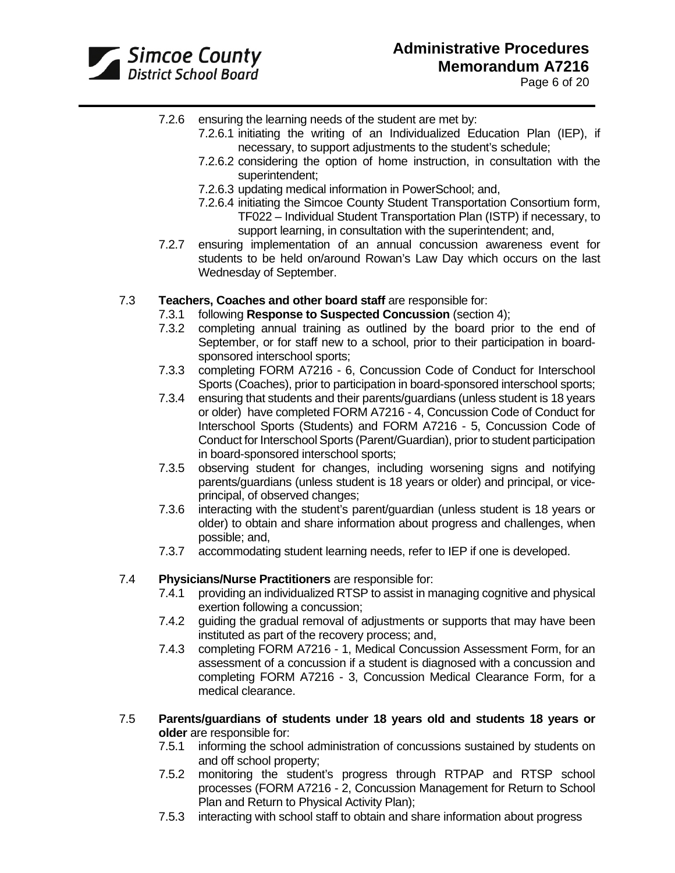

- 7.2.6 ensuring the learning needs of the student are met by:
	- 7.2.6.1 initiating the writing of an Individualized Education Plan (IEP), if necessary, to support adjustments to the student's schedule;
	- 7.2.6.2 considering the option of home instruction, in consultation with the superintendent;
	- 7.2.6.3 updating medical information in PowerSchool; and,
	- 7.2.6.4 initiating the Simcoe County Student Transportation Consortium form, TF022 – Individual Student Transportation Plan (ISTP) if necessary, to support learning, in consultation with the superintendent; and,
- 7.2.7 ensuring implementation of an annual concussion awareness event for students to be held on/around Rowan's Law Day which occurs on the last Wednesday of September.

### 7.3 **Teachers, Coaches and other board staff** are responsible for:

- 7.3.1 following **Response to Suspected Concussion** (section 4);
- 7.3.2 completing annual training as outlined by the board prior to the end of September, or for staff new to a school, prior to their participation in boardsponsored interschool sports;
- 7.3.3 completing FORM A7216 6, Concussion Code of Conduct for Interschool Sports (Coaches), prior to participation in board-sponsored interschool sports;
- 7.3.4 ensuring that students and their parents/guardians (unless student is 18 years or older) have completed FORM A7216 - 4, Concussion Code of Conduct for Interschool Sports (Students) and FORM A7216 - 5, Concussion Code of Conduct for Interschool Sports (Parent/Guardian), prior to student participation in board-sponsored interschool sports;
- 7.3.5 observing student for changes, including worsening signs and notifying parents/guardians (unless student is 18 years or older) and principal, or viceprincipal, of observed changes;
- 7.3.6 interacting with the student's parent/guardian (unless student is 18 years or older) to obtain and share information about progress and challenges, when possible; and,
- 7.3.7 accommodating student learning needs, refer to IEP if one is developed.

#### 7.4 **Physicians/Nurse Practitioners** are responsible for:

- 7.4.1 providing an individualized RTSP to assist in managing cognitive and physical exertion following a concussion;
- 7.4.2 guiding the gradual removal of adjustments or supports that may have been instituted as part of the recovery process; and,
- 7.4.3 completing FORM A7216 1, Medical Concussion Assessment Form, for an assessment of a concussion if a student is diagnosed with a concussion and completing FORM A7216 - 3, Concussion Medical Clearance Form, for a medical clearance.
- 7.5 **Parents/guardians of students under 18 years old and students 18 years or older** are responsible for:<br>7.5.1 informing the scho
	- informing the school administration of concussions sustained by students on and off school property;
	- 7.5.2 monitoring the student's progress through RTPAP and RTSP school processes (FORM A7216 - 2, Concussion Management for Return to School Plan and Return to Physical Activity Plan);
	- 7.5.3 interacting with school staff to obtain and share information about progress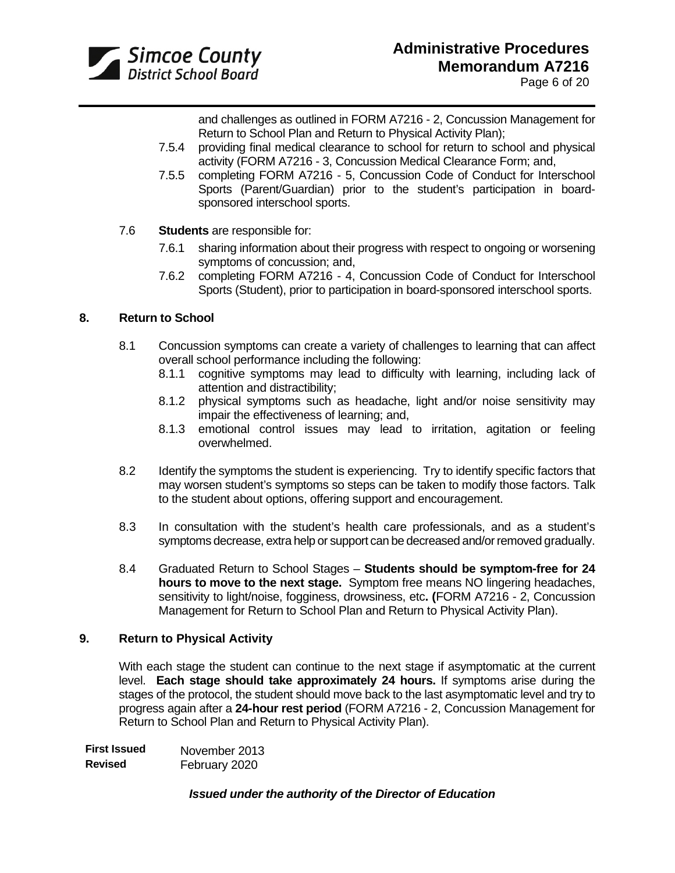

Page 6 of 20

and challenges as outlined in FORM A7216 - 2, Concussion Management for Return to School Plan and Return to Physical Activity Plan);

- 7.5.4 providing final medical clearance to school for return to school and physical activity (FORM A7216 - 3, Concussion Medical Clearance Form; and,
- 7.5.5 completing FORM A7216 5, Concussion Code of Conduct for Interschool Sports (Parent/Guardian) prior to the student's participation in boardsponsored interschool sports.
- 7.6 **Students** are responsible for:
	- 7.6.1 sharing information about their progress with respect to ongoing or worsening symptoms of concussion; and,
	- 7.6.2 completing FORM A7216 4, Concussion Code of Conduct for Interschool Sports (Student), prior to participation in board-sponsored interschool sports.

### **8. Return to School**

- 8.1 Concussion symptoms can create a variety of challenges to learning that can affect overall school performance including the following:
	- 8.1.1 cognitive symptoms may lead to difficulty with learning, including lack of attention and distractibility;
	- 8.1.2 physical symptoms such as headache, light and/or noise sensitivity may impair the effectiveness of learning; and,
	- 8.1.3 emotional control issues may lead to irritation, agitation or feeling overwhelmed.
- 8.2 Identify the symptoms the student is experiencing. Try to identify specific factors that may worsen student's symptoms so steps can be taken to modify those factors. Talk to the student about options, offering support and encouragement.
- 8.3 In consultation with the student's health care professionals, and as a student's symptoms decrease, extra help or support can be decreased and/or removed gradually.
- 8.4 Graduated Return to School Stages **Students should be symptom-free for 24 hours to move to the next stage.** Symptom free means NO lingering headaches, sensitivity to light/noise, fogginess, drowsiness, etc**. (**FORM A7216 - 2, Concussion Management for Return to School Plan and Return to Physical Activity Plan).

#### **9. Return to Physical Activity**

With each stage the student can continue to the next stage if asymptomatic at the current level. **Each stage should take approximately 24 hours.** If symptoms arise during the stages of the protocol, the student should move back to the last asymptomatic level and try to progress again after a **24-hour rest period** (FORM A7216 - 2, Concussion Management for Return to School Plan and Return to Physical Activity Plan).

| <b>First Issued</b> | November 2013 |
|---------------------|---------------|
| <b>Revised</b>      | February 2020 |

### *Issued under the authority of the Director of Education*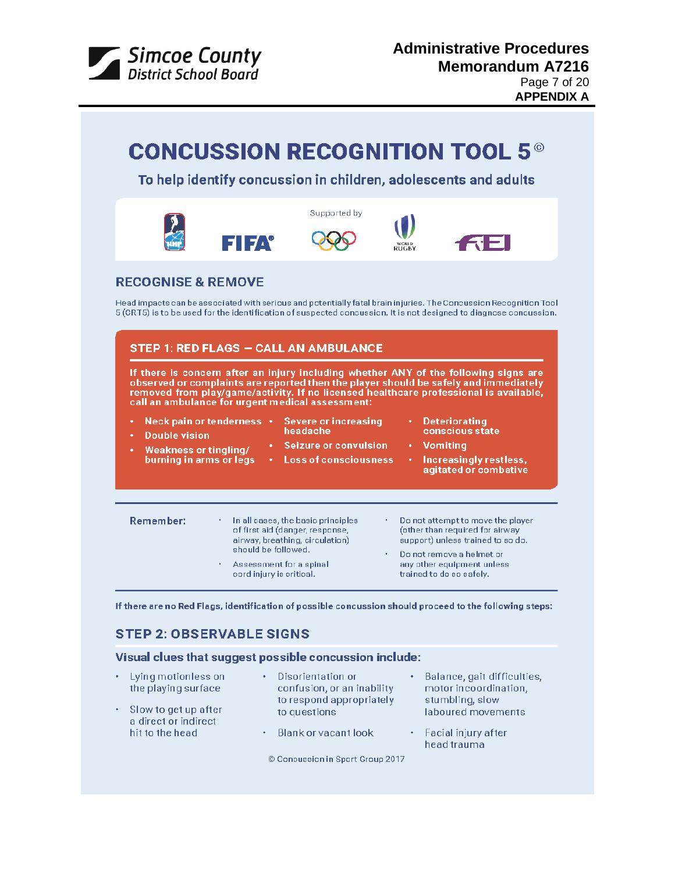

|                                                                                                                             |                                                                 |                                                                                                         |                                        | <b>CONCUSSION RECOGNITION TOOL 5<sup>®</sup></b><br>To help identify concussion in children, adolescents and adults                                                                                                                                                                                                                                                                                                                                                                                             |
|-----------------------------------------------------------------------------------------------------------------------------|-----------------------------------------------------------------|---------------------------------------------------------------------------------------------------------|----------------------------------------|-----------------------------------------------------------------------------------------------------------------------------------------------------------------------------------------------------------------------------------------------------------------------------------------------------------------------------------------------------------------------------------------------------------------------------------------------------------------------------------------------------------------|
|                                                                                                                             | EHEA                                                            | Supported by                                                                                            |                                        |                                                                                                                                                                                                                                                                                                                                                                                                                                                                                                                 |
| <b>RECOGNISE &amp; REMOVE</b>                                                                                               |                                                                 | <b>STEP 1: RED FLAGS - CALL AN AMBULANCE</b>                                                            |                                        | Head impacts can be associated with serious and potentially fatal brain injuries. The Concussion Recognition Tool<br>5 (CRT5) is to be used for the identification of suspected concussion. It is not designed to diagnose concussion.<br>If there is concern after an injury including whether ANY of the following signs are<br>observed or complaints are reported then the player should be safely and immediately<br>removed from play/game/activity. If no licensed healthcare professional is available, |
| Neck pain or tenderness .<br>٠<br><b>Double vision</b><br>٠<br><b>Weakness or tingling/</b><br>٠<br>burning in arms or legs | call an ambulance for urgent medical assessment:<br>$\bullet$ . | <b>Severe or increasing</b><br>headache<br><b>Seizure or convulsion</b><br><b>Loss of consciousness</b> | ٠<br>$\bullet$ .                       | <b>Deteriorating</b><br>conscious state<br>• Vomiting<br>Increasingly restless,<br>agitated or combative                                                                                                                                                                                                                                                                                                                                                                                                        |
| <b>Remember:</b>                                                                                                            |                                                                 | In all cases, the basic principles                                                                      | Do not attempt to move the player<br>٠ |                                                                                                                                                                                                                                                                                                                                                                                                                                                                                                                 |

If there are no Red Flags, identification of possible concussion should proceed to the following steps:

## **STEP 2: OBSERVABLE SIGNS**

## Visual clues that suggest possible concussion include:

| Lying motionless on | • Disorientation or |  |
|---------------------|---------------------|--|

the playing surface · Slow to get up after a direct or indirect

hit to the head

- Disorientation or confusion, or an inability to respond appropriately to questions
- Blank or vacant look
- motor incoordination, stumbling, slow laboured movements

· Balance, gait difficulties,

- Facial injury after head trauma
- © Concussion in Sport Group 2017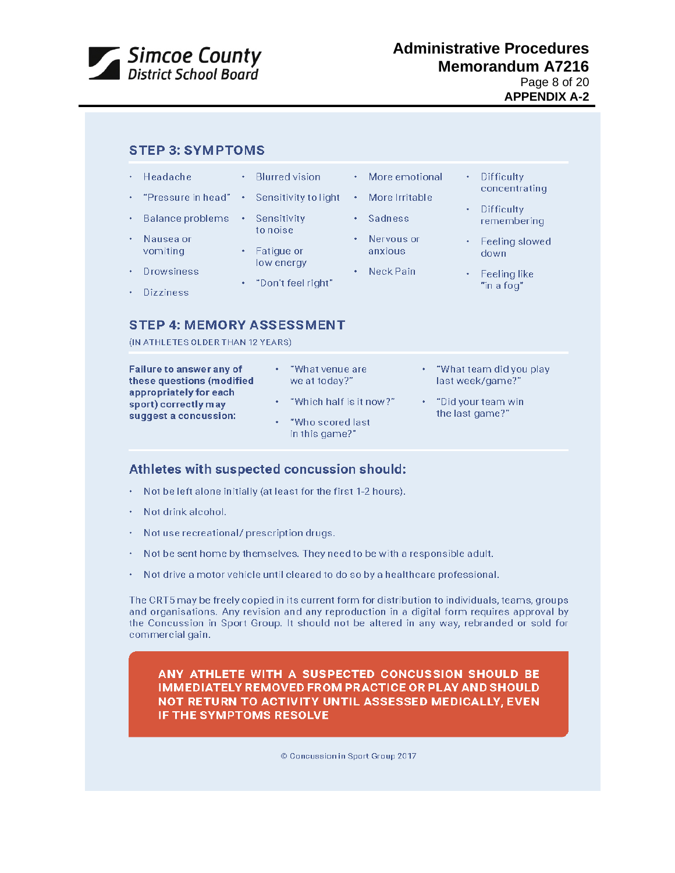

## **Administrative Procedures**<br>District School Board<br>District School Board  **Memorandum A7216** Page 8 of 20 **APPENDIX A-2**

|                                   | <b>STEP 4: MEMORY ASSESSMENT</b> | Headache<br>"Pressure in head"<br>Balance problems<br>Nausea or<br>vomiting<br><b>Drowsiness</b><br><b>Dizziness</b> | <b>Blurred vision</b><br>٠<br>Sensitivity to light<br>٠<br>Sensitivity<br>٠<br>to noise<br>Fatigue or<br>٠<br>low energy<br>"Don't feel right"<br>٠ | More emotional<br>٠<br>More Irritable<br>٠<br>Sadness<br>٠<br>Nervous or<br>٠<br>anxious<br>Neck Pain<br>٠ | <b>Difficulty</b><br>٠<br>concentrating<br><b>Difficulty</b><br>remembering<br>Feeling slowed<br>down<br>Feeling like<br>"in a fog" |
|-----------------------------------|----------------------------------|----------------------------------------------------------------------------------------------------------------------|-----------------------------------------------------------------------------------------------------------------------------------------------------|------------------------------------------------------------------------------------------------------------|-------------------------------------------------------------------------------------------------------------------------------------|
| (IN ATHLETES OLDER THAN 12 YEARS) |                                  |                                                                                                                      |                                                                                                                                                     |                                                                                                            |                                                                                                                                     |

| <b>Failure to answer any of</b>                                         | "What venue are                                               | ٠ | "What team did you play               |
|-------------------------------------------------------------------------|---------------------------------------------------------------|---|---------------------------------------|
| these questions (modified                                               | we at today?"                                                 |   | last week/game?"                      |
| appropriately for each<br>sport) correctly may<br>suggest a concussion: | "Which half is it now?"<br>"Who scored last<br>in this game?" |   | "Did your team win<br>the last game?" |

## Athletes with suspected concussion should:

- Not be left alone initially (at least for the first 1-2 hours).
- Not drink alcohol.
- Not use recreational/prescription drugs.
- Not be sent home by themselves. They need to be with a responsible adult.
- Not drive a motor vehicle until cleared to do so by a healthcare professional.

The CRT5 may be freely copied in its current form for distribution to individuals, teams, groups and organisations. Any revision and any reproduction in a digital form requires approval by the Concussion in Sport Group. It should not be altered in any way, rebranded or sold for commercial gain.

ANY ATHLETE WITH A SUSPECTED CONCUSSION SHOULD BE IMMEDIATELY REMOVED FROM PRACTICE OR PLAY AND SHOULD NOT RETURN TO ACTIVITY UNTIL ASSESSED MEDICALLY, EVEN **IF THE SYMPTOMS RESOLVE** 

© Concussion in Sport Group 2017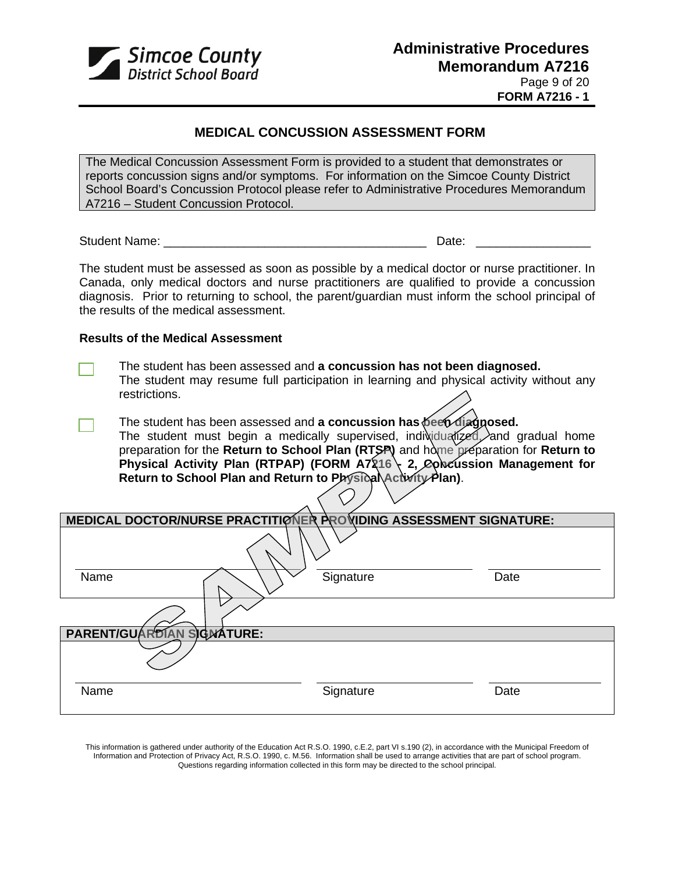

## **MEDICAL CONCUSSION ASSESSMENT FORM**

The Medical Concussion Assessment Form is provided to a student that demonstrates or reports concussion signs and/or symptoms. For information on the Simcoe County District School Board's Concussion Protocol please refer to Administrative Procedures Memorandum A7216 – Student Concussion Protocol.

Student Name: \_\_\_\_\_\_\_\_\_\_\_\_\_\_\_\_\_\_\_\_\_\_\_\_\_\_\_\_\_\_\_\_\_\_\_\_\_\_\_ Date: \_\_\_\_\_\_\_\_\_\_\_\_\_\_\_\_\_

The student must be assessed as soon as possible by a medical doctor or nurse practitioner. In Canada, only medical doctors and nurse practitioners are qualified to provide a concussion diagnosis. Prior to returning to school, the parent/guardian must inform the school principal of the results of the medical assessment.

#### **Results of the Medical Assessment**

- The student has been assessed and **a concussion has not been diagnosed.**  The student may resume full participation in learning and physical activity without any restrictions.
- The student has been assessed and **a concussion has been diagnosed.** The student must begin a medically supervised, individualized, and gradual home preparation for the **Return to School Plan (RTSP)** and home preparation for **Return to Physical Activity Plan (RTPAP) (FORM A7216 \ 2, Concussion Management for Return to School Plan and Return to Physical Activity Plan)**.

| MEDICAL DOCTOR/NURSE PRACTITIONER PROVIDING ASSESSMENT SIGNATURE: |           |      |
|-------------------------------------------------------------------|-----------|------|
|                                                                   |           |      |
| Name                                                              | Signature | Date |
|                                                                   |           |      |
| PARENT/GUARDIAN SIGNATURE:                                        |           |      |
|                                                                   |           |      |
| Name                                                              | Signature | Date |

This information is gathered under authority of the Education Act R.S.O. 1990, c.E.2, part VI s.190 (2), in accordance with the Municipal Freedom of Information and Protection of Privacy Act, R.S.O. 1990, c. M.56. Information shall be used to arrange activities that are part of school program. Questions regarding information collected in this form may be directed to the school principal.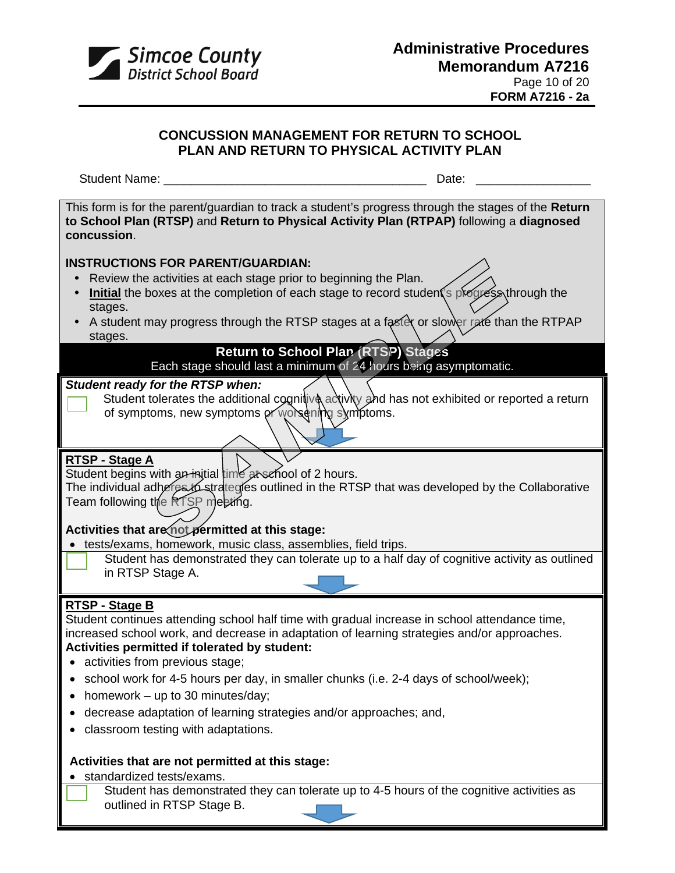

## **CONCUSSION MANAGEMENT FOR RETURN TO SCHOOL PLAN AND RETURN TO PHYSICAL ACTIVITY PLAN**

Student Name: \_\_\_\_\_\_\_\_\_\_\_\_\_\_\_\_\_\_\_\_\_\_\_\_\_\_\_\_\_\_\_\_\_\_\_\_\_\_\_ Date: \_\_\_\_\_\_\_\_\_\_\_\_\_\_\_\_\_

This form is for the parent/guardian to track a student's progress through the stages of the **Return to School Plan (RTSP)** and **Return to Physical Activity Plan (RTPAP)** following a **diagnosed concussion**.

## **INSTRUCTIONS FOR PARENT/GUARDIAN:**

- Review the activities at each stage prior to beginning the Plan.
- Initial the boxes at the completion of each stage to record student's progress through the stages.
- A student may progress through the RTSP stages at a faster or slower rate than the RTPAP stages.

## **Return to School Plan (RTSP) Stages**

## Each stage should last a minimum of 24 hours being asymptomatic.

## *Student ready for the RTSP when:*

R ready for the NTS. However the additional cognitive activity and has not exhibited or reported a return of symptoms, new symptoms or worsening symptoms.

## **RTSP - Stage A**

 $R13P - 3$  and  $R$  in the student begins with an initial time at school of 2 hours. The individual adheres to strategies outlined in the RTSP that was developed by the Collaborative Team following the RTSP meeting.

# **Activities that are not permitted at this stage:**

- tests/exams, homework, music class, assemblies, field trips.
	- Student has demonstrated they can tolerate up to a half day of cognitive activity as outlined in RTSP Stage A.

## **RTSP - Stage B**

Student continues attending school half time with gradual increase in school attendance time, increased school work, and decrease in adaptation of learning strategies and/or approaches. **Activities permitted if tolerated by student:** 

- activities from previous stage;
- school work for 4-5 hours per day, in smaller chunks (i.e. 2-4 days of school/week);
- homework up to 30 minutes/day;
- decrease adaptation of learning strategies and/or approaches; and,
- classroom testing with adaptations.

## **Activities that are not permitted at this stage:**

- standardized tests/exams.
	- Student has demonstrated they can tolerate up to 4-5 hours of the cognitive activities as outlined in RTSP Stage B.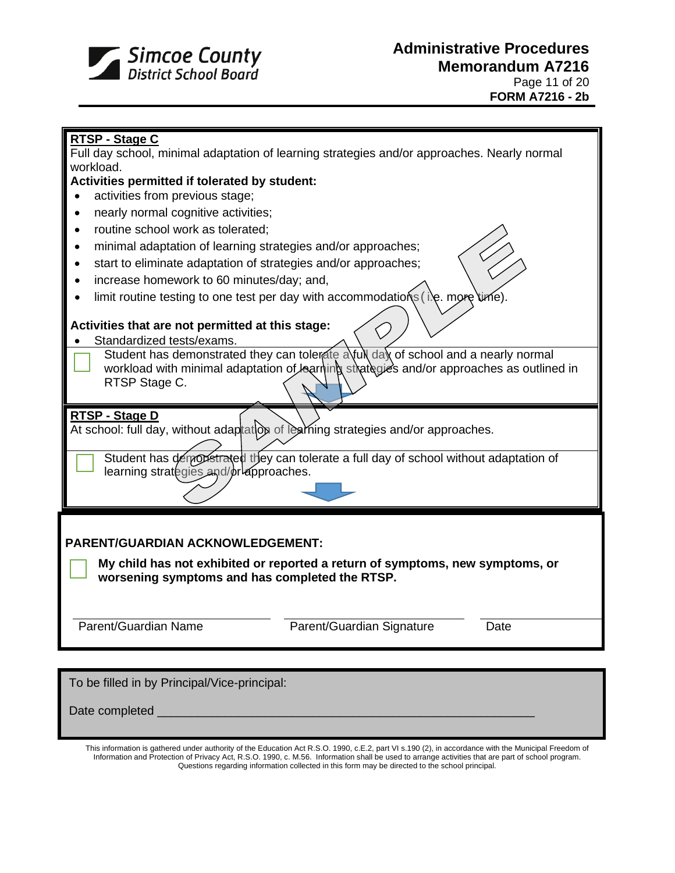

Date completed

# **RTSP - Stage C**  Full day school, minimal adaptation of learning strategies and/or approaches. Nearly normal workload. **Activities permitted if tolerated by student:** • activities from previous stage; • nearly normal cognitive activities; • routine school work as tolerated; • minimal adaptation of learning strategies and/or approaches; • start to eliminate adaptation of strategies and/or approaches; • increase homework to 60 minutes/day; and, • limit routine testing to one test per day with accommodations (i.e. more **Activities that are not permitted at this stage:** Standardized tests/exams. Student has demonstrated they can tolerate a full day of school and a nearly normal workload with minimal adaptation of learning strategies and/or approaches as outlined in RTSP Stage C. **RTSP - Stage D** At school: full day, without adaptatool of learning strategies and/or approaches. Student has demonstrated they can tolerate a full day of school without adaptation of learning strategies and/or approaches. **PARENT/GUARDIAN ACKNOWLEDGEMENT: My child has not exhibited or reported a return of symptoms, new symptoms, or worsening symptoms and has completed the RTSP.** Parent/Guardian Name **Parent/Guardian Signature** Date To be filled in by Principal/Vice-principal:

This information is gathered under authority of the Education Act R.S.O. 1990, c.E.2, part VI s.190 (2), in accordance with the Municipal Freedom of Information and Protection of Privacy Act, R.S.O. 1990, c. M.56. Information shall be used to arrange activities that are part of school program. Questions regarding information collected in this form may be directed to the school principal.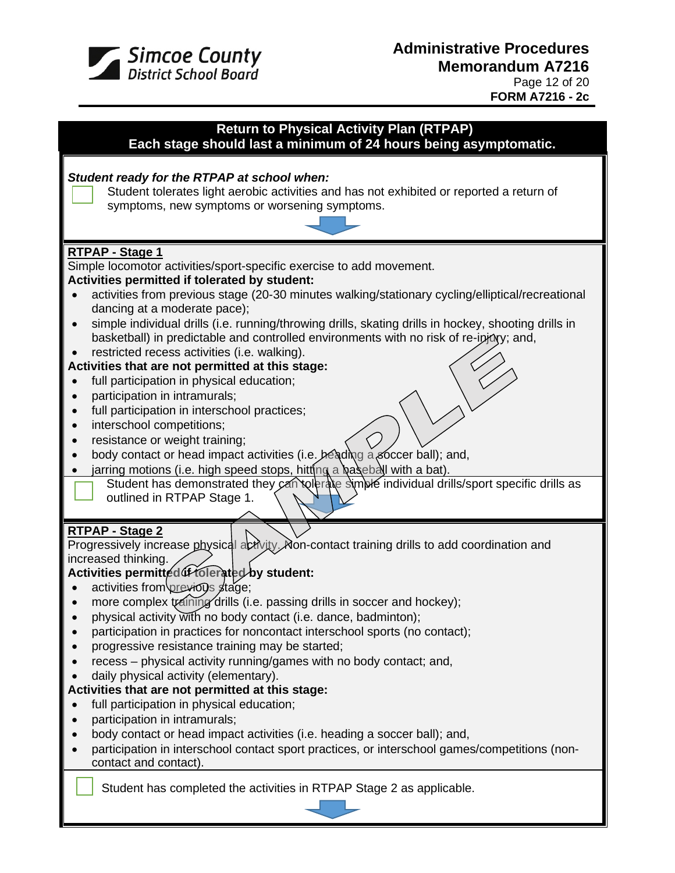

# **Return to Physical Activity Plan (RTPAP)**

**Each stage should last a minimum of 24 hours being asymptomatic.**

## *Student ready for the RTPAP at school when:* Student tolerates light aerobic activities and has not exhibited or reported a return of symptoms, new symptoms or worsening symptoms. **RTPAP - Stage 1** Simple locomotor activities/sport-specific exercise to add movement. **Activities permitted if tolerated by student:** • activities from previous stage (20-30 minutes walking/stationary cycling/elliptical/recreational dancing at a moderate pace); • simple individual drills (i.e. running/throwing drills, skating drills in hockey, shooting drills in basketball) in predictable and controlled environments with no risk of re-injury; and, restricted recess activities (i.e. walking). **Activities that are not permitted at this stage:** full participation in physical education: • participation in intramurals; • full participation in interschool practices; • interschool competitions; • resistance or weight training; • body contact or head impact activities (i.e.  $\frac{1}{2}$   $\frac{1}{2}$   $\frac{1}{2}$   $\frac{1}{2}$   $\frac{1}{2}$   $\frac{1}{2}$   $\frac{1}{2}$   $\frac{1}{2}$   $\frac{1}{2}$   $\frac{1}{2}$   $\frac{1}{2}$   $\frac{1}{2}$   $\frac{1}{2}$   $\frac{1}{2}$   $\frac{1}{2}$   $\frac{1}{2}$   $\frac{1}{2}$   $\frac{$ • jarring motions (i.e. high speed stops, hitting a baseball with a bat). Student has demonstrated they can tolerate simble individual drills/sport specific drills as outlined in RTPAP Stage 1. **RTPAP - Stage 2** Progressively increase physical activity. Non-contact training drills to add coordination and increased thinking. **Activities permitted if tolerated by student:** activities from previous stage; more complex training drills (i.e. passing drills in soccer and hockey); • physical activity with no body contact (i.e. dance, badminton); • participation in practices for noncontact interschool sports (no contact); • progressive resistance training may be started; • recess – physical activity running/games with no body contact; and, • daily physical activity (elementary). **Activities that are not permitted at this stage:** full participation in physical education; • participation in intramurals; • body contact or head impact activities (i.e. heading a soccer ball); and, • participation in interschool contact sport practices, or interschool games/competitions (noncontact and contact). Student has completed the activities in RTPAP Stage 2 as applicable.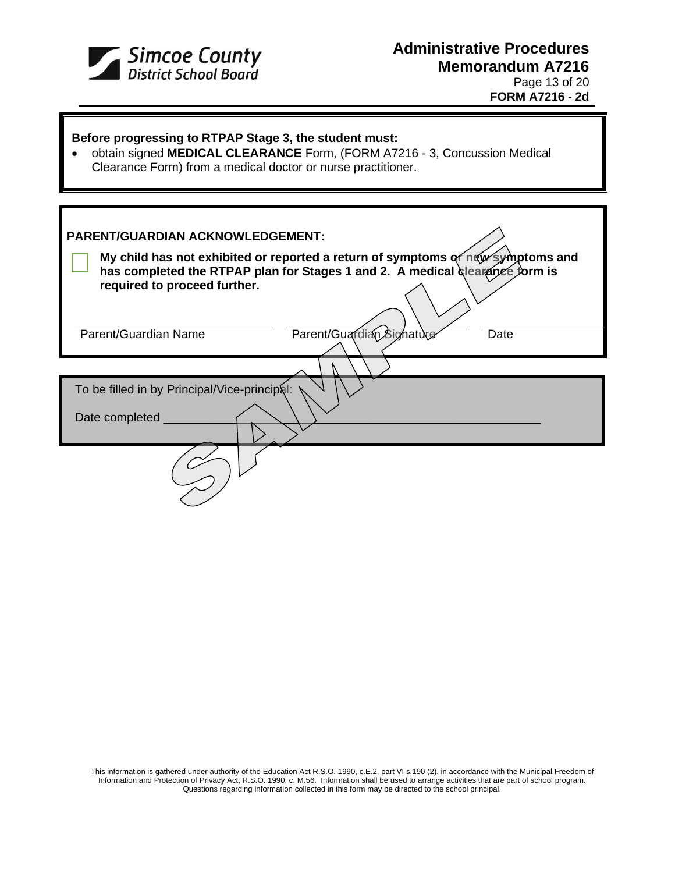

# **Administrative Procedures Memorandum A7216** Page 13 of 20 **FORM A7216 - 2d**

| Before progressing to RTPAP Stage 3, the student must:<br>obtain signed MEDICAL CLEARANCE Form, (FORM A7216 - 3, Concussion Medical<br>Clearance Form) from a medical doctor or nurse practitioner. |  |  |  |  |
|-----------------------------------------------------------------------------------------------------------------------------------------------------------------------------------------------------|--|--|--|--|
|                                                                                                                                                                                                     |  |  |  |  |
| <b>PARENT/GUARDIAN ACKNOWLEDGEMENT:</b>                                                                                                                                                             |  |  |  |  |
| My child has not exhibited or reported a return of symptoms or new symptoms and<br>has completed the RTPAP plan for Stages 1 and 2. A medical clearance form is<br>required to proceed further.     |  |  |  |  |
| Parent/Guardian Signature<br>Parent/Guardian Name<br>Date                                                                                                                                           |  |  |  |  |
|                                                                                                                                                                                                     |  |  |  |  |
| To be filled in by Principal/Vice-principal:                                                                                                                                                        |  |  |  |  |
| Date completed                                                                                                                                                                                      |  |  |  |  |
|                                                                                                                                                                                                     |  |  |  |  |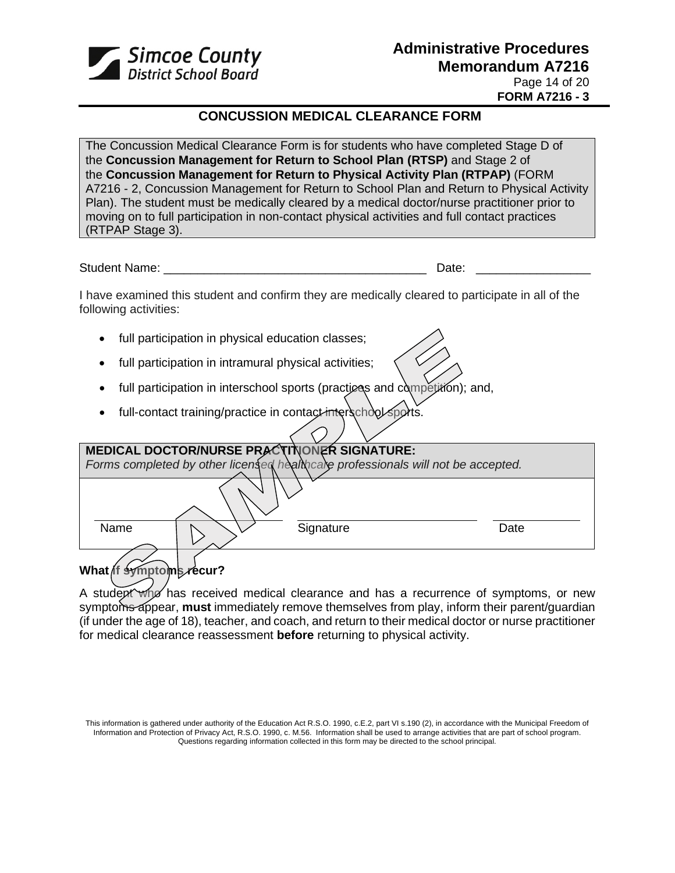

## **CONCUSSION MEDICAL CLEARANCE FORM**

The Concussion Medical Clearance Form is for students who have completed Stage D of the **[Concussion Management for Return to School Plan \(RTSP\)](https://safety.ophea.net/resources/812)** and Stage 2 of the **[Concussion Management for Return to Physical Activity](https://safety.ophea.net/resources/813) Plan (RTPAP)** (FORM A7216 - 2, Concussion Management for Return to School Plan and Return to Physical Activity Plan). The student must be medically cleared by a medical doctor/nurse practitioner prior to moving on to full participation in non-contact physical activities and full contact practices (RTPAP Stage 3).

Student Name: \_\_\_\_\_\_\_\_\_\_\_\_\_\_\_\_\_\_\_\_\_\_\_\_\_\_\_\_\_\_\_\_\_\_\_\_\_\_\_ Date: \_\_\_\_\_\_\_\_\_\_\_\_\_\_\_\_\_

I have examined this student and confirm they are medically cleared to participate in all of the following activities:

- full participation in physical education classes;
- full participation in intramural physical activities;
- full participation in interschool sports (practices and competition); and,
- full-contact training/practice in contact interschool sports.

| MEDICAL DOCTOR/NURSE PRACTINONER SIGNATURE:                                      |      |
|----------------------------------------------------------------------------------|------|
| Forms completed by other licensed healthcale professionals will not be accepted. |      |
|                                                                                  |      |
| Signature<br>Name                                                                | Date |
| symptoms recur?<br><b>What ff</b>                                                |      |

A student who has received medical clearance and has a recurrence of symptoms, or new symptoms appear, **must** immediately remove themselves from play, inform their parent/quardian (if under the age of 18), teacher, and coach, and return to their medical doctor or nurse practitioner for medical clearance reassessment **before** returning to physical activity.

This information is gathered under authority of the Education Act R.S.O. 1990, c.E.2, part VI s.190 (2), in accordance with the Municipal Freedom of Information and Protection of Privacy Act, R.S.O. 1990, c. M.56. Information shall be used to arrange activities that are part of school program. Questions regarding information collected in this form may be directed to the school principal.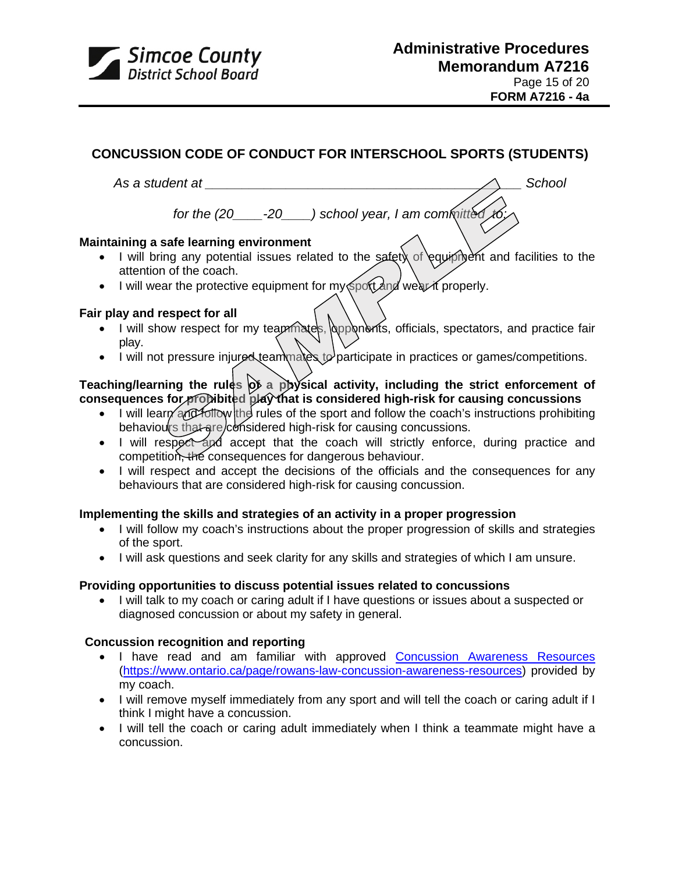

## **[CONCUSSION CODE OF CONDUCT](https://contenthub.ophea.net/resources/1247) [FOR INTERSCHOOL SPORTS \(STUDENTS\)](https://contenthub.ophea.net/resources/1247)**

# As a student at **Assaure 2.2 and 2.3 a** School and 2.4 and 2.5 and 2.4 and 2.5 and 2.4 and 2.5 and 2.4 and 2.5 and 2.5 and 2.7 and 2.7 and 2.7 and 2.7 and 2.7 and 2.7 and 2.7 and 2.7 and 2.7 and 2.7 and 2.7 and 2.7 and 2.7

*for the (20\_\_\_\_-20\_\_\_\_) school year, I am committed to:*

## **Maintaining a safe learning environment**

- I will bring any potential issues related to the safety of equipment and facilities to the attention of the coach.
- I will wear the protective equipment for my sport and wear it properly.

### **Fair play and respect for all**

- r play and respect for an<br>• I will show respect for my teammates, opponents, officials, spectators, and practice fair play.
- I will not pressure injured teammates to participate in practices or games/competitions.

## Teaching/learning the rules  $\phi$  a physical activity, including the strict enforcement of **consequences for prohibited play that is considered high-risk for causing concussions**

- I will learn and follow the rules of the sport and follow the coach's instructions prohibiting behaviours that are considered high-risk for causing concussions.
- I will respect and accept that the coach will strictly enforce, during practice and competition, the consequences for dangerous behaviour.
- I will respect and accept the decisions of the officials and the consequences for any behaviours that are considered high-risk for causing concussion.

### **Implementing the skills and strategies of an activity in a proper progression**

- I will follow my coach's instructions about the proper progression of skills and strategies of the sport.
- I will ask questions and seek clarity for any skills and strategies of which I am unsure.

## **Providing opportunities to discuss potential issues related to concussions**

• I will talk to my coach or caring adult if I have questions or issues about a suspected or diagnosed concussion or about my safety in general.

### **Concussion recognition and reporting**

- I have read and am familiar with approved [Concussion Awareness Resources](https://www.ontario.ca/page/rowans-law-concussion-awareness-resources?_ga=2.138990577.313930694.1580139129-1313119905.1573485645#section-4) [\(https://www.ontario.ca/page/rowans-law-concussion-awareness-resources\)](https://www.ontario.ca/page/rowans-law-concussion-awareness-resources) provided by my coach.
- I will remove myself immediately from any sport and will tell the coach or caring adult if I think I might have a concussion.
- I will tell the coach or caring adult immediately when I think a teammate might have a concussion.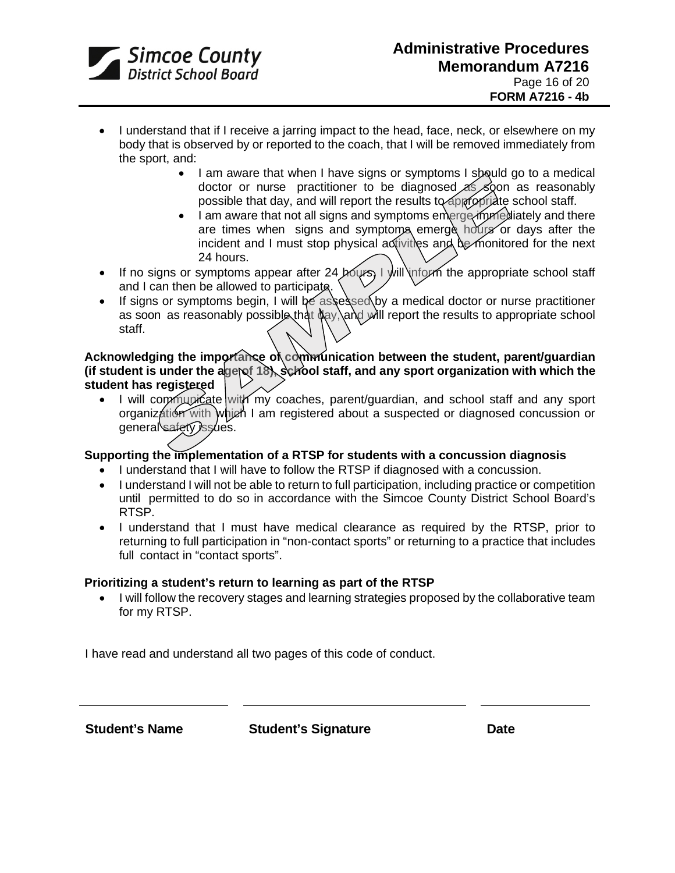

- I understand that if I receive a jarring impact to the head, face, neck, or elsewhere on my body that is observed by or reported to the coach, that I will be removed immediately from the sport, and:
	- I am aware that when I have signs or symptoms I spould go to a medical doctor or nurse practitioner to be diagnosed  $\leq$  soon as reasonably possible that day, and will report the results to appropriate school staff.
	- I am aware that not all signs and symptoms emerge immediately and there are times when signs and symptoms emerge hours or days after the incident and I must stop physical activities and be monitored for the next 24 hours.
- If no signs or symptoms appear after 24 hours, I will inform the appropriate school staff and I can then be allowed to participate.
- If signs or symptoms begin, I will be assessed by a medical doctor or nurse practitioner as soon as reasonably possible that  $\frac{1}{2}$ , and will report the results to appropriate school staff.

**Acknowledging the importance of communication between the student, parent/guardian** (if student is under the age of 18), school staff, and any sport organization with which the **student has registered**

• I will communicate with my coaches, parent/guardian, and school staff and any sport organization with which I am registered about a suspected or diagnosed concussion or general safety issues.

### **Supporting the implementation of a RTSP for students with a concussion diagnosis**

- I understand that I will have to follow the RTSP if diagnosed with a concussion.
- I understand I will not be able to return to full participation, including practice or competition until permitted to do so in accordance with the Simcoe County District School Board's RTSP.
- I understand that I must have medical clearance as required by the RTSP, prior to returning to full participation in "non-contact sports" or returning to a practice that includes full contact in "contact sports".

### **Prioritizing a student's return to learning as part of the RTSP**

• I will follow the recovery stages and learning strategies proposed by the collaborative team for my RTSP.

I have read and understand all two pages of this code of conduct.

**Student's Name Student's Signature Date**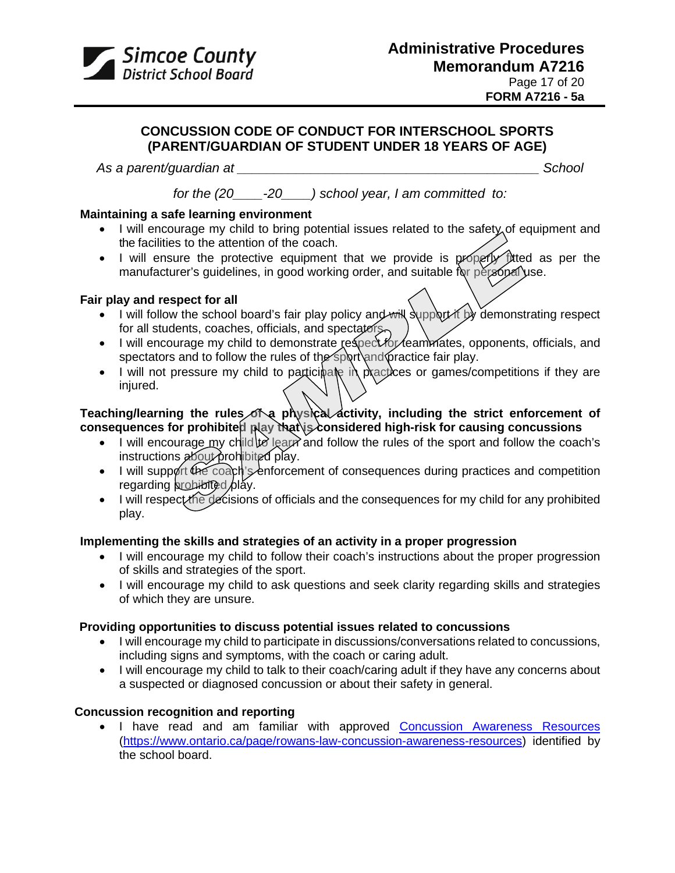

## **[CONCUSSION CODE OF CONDUCT](https://contenthub.ophea.net/resources/1247) FOR INTERSCHOOL SPORTS (PARENT/GUARDIAN OF STUDENT UNDER 18 YEARS OF AGE)**

*As a parent/guardian at \_\_\_\_\_\_\_\_\_\_\_\_\_\_\_\_\_\_\_\_\_\_\_\_\_\_\_\_\_\_\_\_\_\_\_\_\_\_\_\_\_ School*

*for the (20\_\_\_\_-20\_\_\_\_) school year, I am committed to:*

## **Maintaining a safe learning environment**

- I will encourage my child to bring potential issues related to the safety of equipment and the facilities to the attention of the coach.
- I will ensure the protective equipment that we provide is properly titled as per the manufacturer's guidelines, in good working order, and suitable for personal use.

## **Fair play and respect for all**

- I will follow the school board's fair play policy and will support it by demonstrating respect for all students, coaches, officials, and spectators.
- I will encourage my child to demonstrate respect for feammates, opponents, officials, and spectators and to follow the rules of the sport and practice fair play.
- I will not pressure my child to participate in practices or games/competitions if they are injured.

## Teaching/learning the rules of a physical activity, including the strict enforcement of consequences for prohibited play that is considered high-risk for causing concussions

- I will encourage my child to learn and follow the rules of the sport and follow the coach's instructions about prohibited play.
- I will support the coach's enforcement of consequences during practices and competition regarding  $propto$ bibited  $\rho$ lay.
- I will respect the decisions of officials and the consequences for my child for any prohibited play.

## **Implementing the skills and strategies of an activity in a proper progression**

- I will encourage my child to follow their coach's instructions about the proper progression of skills and strategies of the sport.
- I will encourage my child to ask questions and seek clarity regarding skills and strategies of which they are unsure.

## **Providing opportunities to discuss potential issues related to concussions**

- I will encourage my child to participate in discussions/conversations related to concussions, including signs and symptoms, with the coach or caring adult.
- I will encourage my child to talk to their coach/caring adult if they have any concerns about a suspected or diagnosed concussion or about their safety in general.

## **Concussion recognition and reporting**

• I have read and am familiar with approved [Concussion Awareness Resources](https://www.ontario.ca/page/rowans-law-concussion-awareness-resources?_ga=2.138990577.313930694.1580139129-1313119905.1573485645#section-4) [\(https://www.ontario.ca/page/rowans-law-concussion-awareness-resources\)](https://www.ontario.ca/page/rowans-law-concussion-awareness-resources) identified by the school board.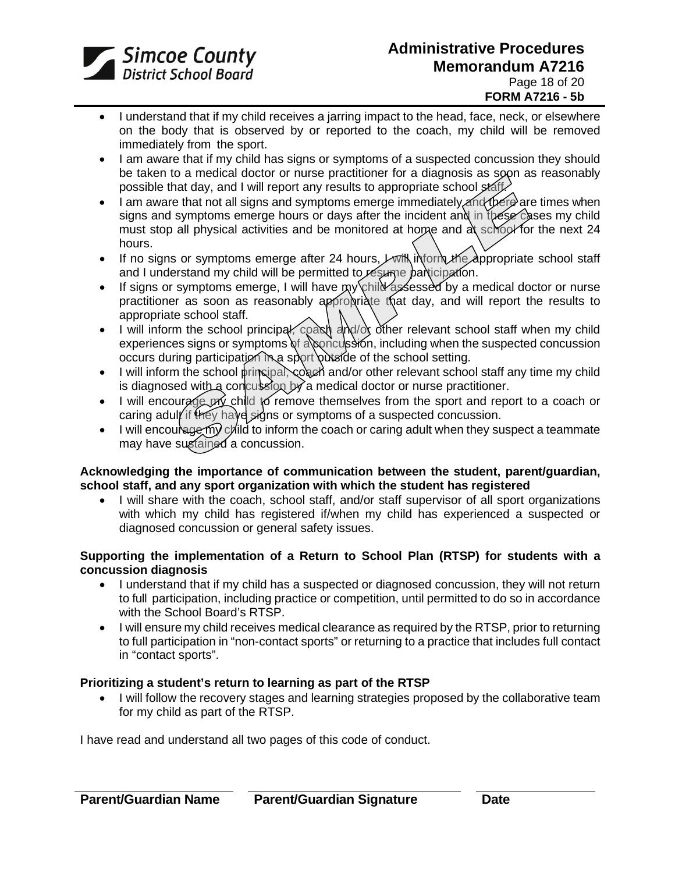

- I understand that if my child receives a jarring impact to the head, face, neck, or elsewhere on the body that is observed by or reported to the coach, my child will be removed immediately from the sport.
- I am aware that if my child has signs or symptoms of a suspected concussion they should be taken to a medical doctor or nurse practitioner for a diagnosis as soon as reasonably possible that day, and I will report any results to appropriate school staff.
- I am aware that not all signs and symptoms emerge immediately and there are times when signs and symptoms emerge hours or days after the incident and in these cases my child must stop all physical activities and be monitored at home and at school for the next 24 hours.
- If no signs or symptoms emerge after 24 hours,  $\nu$  will inform the appropriate school staff and I understand my child will be permitted to resume participation.
- If signs or symptoms emerge, I will have my child assessed by a medical doctor or nurse practitioner as soon as reasonably appropriate that day, and will report the results to appropriate school staff.
- I will inform the school principal, coast and of other relevant school staff when my child experiences signs or symptoms of a concussion, including when the suspected concussion occurs during participation in a sport putside of the school setting.
- $\bullet$  I will inform the school principal, coach and/or other relevant school staff any time my child is diagnosed with a concussion by a medical doctor or nurse practitioner.
- I will encourage pry child to remove themselves from the sport and report to a coach or caring adult if they have signs or symptoms of a suspected concussion.
- I will encourage my child to inform the coach or caring adult when they suspect a teammate may have sustained a concussion.

### **Acknowledging the importance of communication between the student, parent/guardian, school staff, and any sport organization with which the student has registered**

• I will share with the coach, school staff, and/or staff supervisor of all sport organizations with which my child has registered if/when my child has experienced a suspected or diagnosed concussion or general safety issues.

### **Supporting the implementation of a Return to School Plan (RTSP) for students with a concussion diagnosis**

- I understand that if my child has a suspected or diagnosed concussion, they will not return to full participation, including practice or competition, until permitted to do so in accordance with the School Board's RTSP.
- I will ensure my child receives medical clearance as required by the RTSP, prior to returning to full participation in "non-contact sports" or returning to a practice that includes full contact in "contact sports".

### **Prioritizing a student's return to learning as part of the RTSP**

• I will follow the recovery stages and learning strategies proposed by the collaborative team for my child as part of the RTSP.

I have read and understand all two pages of this code of conduct.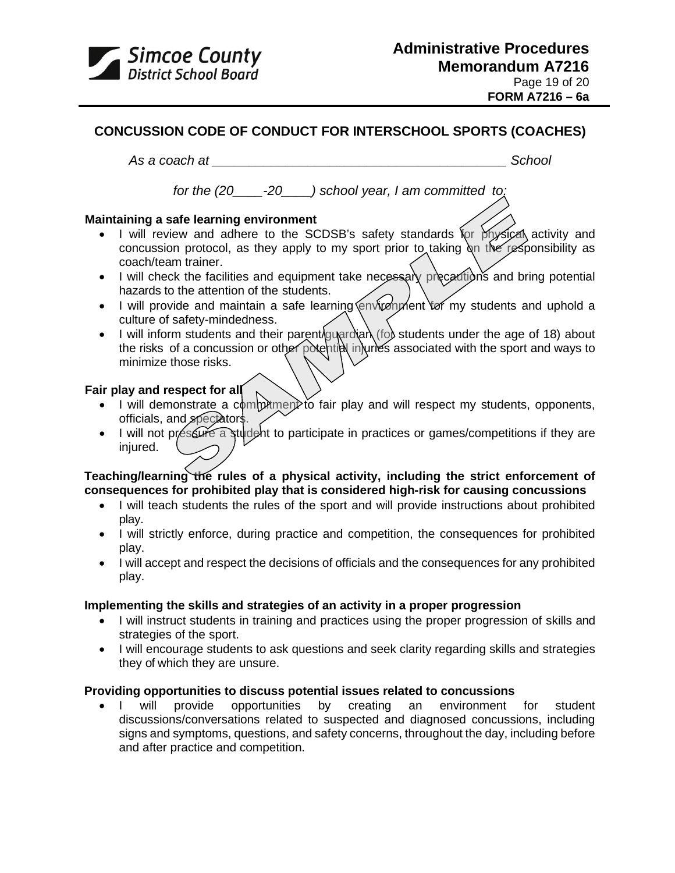

## **[CONCUSSION CODE OF CONDUCT](https://contenthub.ophea.net/resources/1247) [FOR INTERSCHOOL SPORTS \(COACHES\)](https://contenthub.ophea.net/resources/1247)**

*As a coach at \_\_\_\_\_\_\_\_\_\_\_\_\_\_\_\_\_\_\_\_\_\_\_\_\_\_\_\_\_\_\_\_\_\_\_\_\_\_\_\_ School*

*for the (20\_\_\_\_-20\_\_\_\_) school year, I am committed to:*

#### **Maintaining a safe learning environment**

- I will review and adhere to the SCDSB's safety standards for physical activity and concussion protocol, as they apply to my sport prior to taking on the responsibility as coach/team trainer.
- I will check the facilities and equipment take necessary precautions and bring potential hazards to the attention of the students.
- I will provide and maintain a safe learning envirenment for my students and uphold a culture of safety-mindedness.
- I will inform students and their parent guardian (for students under the age of 18) about the risks of a concussion or other potential injuries associated with the sport and ways to minimize those risks.

#### **Fair play and respect for all**

- I will demonstrate a commitment to fair play and will respect my students, opponents, officials, and spectators.
- I will not préssure a student to participate in practices or games/competitions if they are injured.

## **Teaching/learning the rules of a physical activity, including the strict enforcement of consequences for prohibited play that is considered high-risk for causing concussions**

- I will teach students the rules of the sport and will provide instructions about prohibited play.
- I will strictly enforce, during practice and competition, the consequences for prohibited play.
- I will accept and respect the decisions of officials and the consequences for any prohibited play.

### **Implementing the skills and strategies of an activity in a proper progression**

- I will instruct students in training and practices using the proper progression of skills and strategies of the sport.
- I will encourage students to ask questions and seek clarity regarding skills and strategies they of which they are unsure.

## **Providing opportunities to discuss potential issues related to concussions**

• I will provide opportunities by creating an environment for student discussions/conversations related to suspected and diagnosed concussions, including signs and symptoms, questions, and safety concerns, throughout the day, including before and after practice and competition.